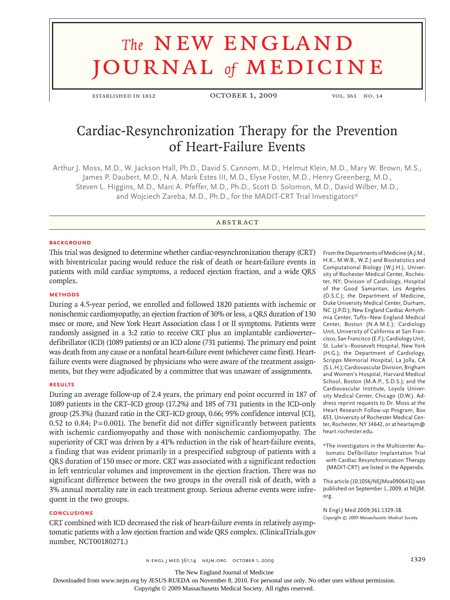# **The NEW ENGLAND** journal *of* medicine

established in 1812 october 1, 2009 vol. 361 no. 14

# Cardiac-Resynchronization Therapy for the Prevention of Heart-Failure Events

Arthur J. Moss, M.D., W. Jackson Hall, Ph.D., David S. Cannom, M.D., Helmut Klein, M.D., Mary W. Brown, M.S., James P. Daubert, M.D., N.A. Mark Estes III, M.D., Elyse Foster, M.D., Henry Greenberg, M.D., Steven L. Higgins, M.D., Marc A. Pfeffer, M.D., Ph.D., Scott D. Solomon, M.D., David Wilber, M.D., and Wojciech Zareba, M.D., Ph.D., for the MADIT-CRT Trial Investigators\*

# **ABSTRACT**

#### **BACKGROUND**

This trial was designed to determine whether cardiac-resynchronization therapy (CRT) with biventricular pacing would reduce the risk of death or heart-failure events in patients with mild cardiac symptoms, a reduced ejection fraction, and a wide QRS complex.

# **Methods**

During a 4.5-year period, we enrolled and followed 1820 patients with ischemic or nonischemic cardiomyopathy, an ejection fraction of 30% or less, a QRS duration of 130 msec or more, and New York Heart Association class I or II symptoms. Patients were randomly assigned in a 3:2 ratio to receive CRT plus an implantable cardioverter– defibrillator (ICD) (1089 patients) or an ICD alone (731 patients). The primary end point was death from any cause or a nonfatal heart-failure event (whichever came first). Heartfailure events were diagnosed by physicians who were aware of the treatment assignments, but they were adjudicated by a committee that was unaware of assignments.

#### **Results**

During an average follow-up of 2.4 years, the primary end point occurred in 187 of 1089 patients in the CRT–ICD group (17.2%) and 185 of 731 patients in the ICD-only group (25.3%) (hazard ratio in the CRT–ICD group, 0.66; 95% confidence interval [CI], 0.52 to 0.84;  $P = 0.001$ ). The benefit did not differ significantly between patients with ischemic cardiomyopathy and those with nonischemic cardiomyopathy. The superiority of CRT was driven by a 41% reduction in the risk of heart-failure events, a finding that was evident primarily in a prespecified subgroup of patients with a QRS duration of 150 msec or more. CRT was associated with a significant reduction in left ventricular volumes and improvement in the ejection fraction. There was no significant difference between the two groups in the overall risk of death, with a 3% annual mortality rate in each treatment group. Serious adverse events were infrequent in the two groups.

# **Conclusions**

CRT combined with ICD decreased the risk of heart-failure events in relatively asymptomatic patients with a low ejection fraction and wide QRS complex. (ClinicalTrials.gov number, NCT00180271.)

From the Departments of Medicine (A.J.M., H.K., M.W.B., W.Z.) and Biostatistics and Computational Biology (W.J.H.), University of Rochester Medical Center, Rochester, NY; Division of Cardiology, Hospital of the Good Samaritan, Los Angeles (D.S.C.); the Department of Medicine, Duke University Medical Center, Durham, NC (J.P.D.); New England Cardiac Arrhythmia Center, Tufts–New England Medical Center, Boston (N.A.M.E.); Cardiology Unit, University of California at San Francisco, San Francisco (E.F.); Cardiology Unit, St. Luke's–Roosevelt Hospital, New York (H.G.); the Department of Cardiology, Scripps Memorial Hospital, La Jolla, CA (S.L.H.); Cardiovascular Division, Brigham and Women's Hospital, Harvard Medical School, Boston (M.A.P., S.D.S.); and the Cardiovascular Institute, Loyola University Medical Center, Chicago (D.W.). Address reprint requests to Dr. Moss at the Heart Research Follow-up Program, Box 653, University of Rochester Medical Center, Rochester, NY 14642, or at heartajm@ heart.rochester.edu.

\*The investigators in the Multicenter Automatic Defibrillator Implantation Trial with Cardiac Resynchronization Therapy (MADIT-CRT) are listed in the Appendix.

This article (10.1056/NEJMoa0906431) was published on September 1, 2009, at NEJM. org.

N Engl J Med 2009;361:1329-38. *Copyright © 2009 Massachusetts Medical Society.*

n engl j med 361;14 nejm.org october 1, 2009 1329

The New England Journal of Medicine

Downloaded from www.nejm.org by JESUS RUEDA on November 8, 2010. For personal use only. No other uses without permission.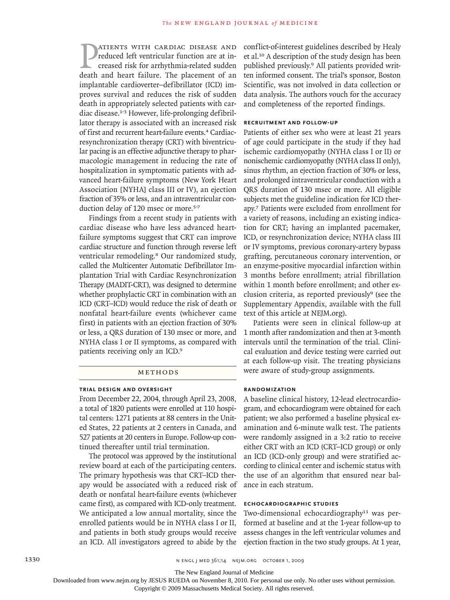**PERION ATIENTS WITH CARDIAC DISEASE AND**<br>reduced left ventricular function are at in-<br>creased risk for arrhythmia-related sudden<br>death and heart failure. The placement of an atients with cardiac disease and reduced left ventricular function are at increased risk for arrhythmia-related sudden implantable cardioverter–defibrillator (ICD) improves survival and reduces the risk of sudden death in appropriately selected patients with cardiac disease.1-3 However, life-prolonging defibrillator therapy is associated with an increased risk of first and recurrent heart-failure events.<sup>4</sup> Cardiacresynchronization therapy (CRT) with biventricular pacing is an effective adjunctive therapy to pharmacologic management in reducing the rate of hospitalization in symptomatic patients with advanced heart-failure symptoms (New York Heart Association [NYHA] class III or IV), an ejection fraction of 35% or less, and an intraventricular conduction delay of 120 msec or more.<sup>5-7</sup>

Findings from a recent study in patients with cardiac disease who have less advanced heartfailure symptoms suggest that CRT can improve cardiac structure and function through reverse left ventricular remodeling.<sup>8</sup> Our randomized study, called the Multicenter Automatic Defibrillator Implantation Trial with Cardiac Resynchronization Therapy (MADIT-CRT), was designed to determine whether prophylactic CRT in combination with an ICD (CRT–ICD) would reduce the risk of death or nonfatal heart-failure events (whichever came first) in patients with an ejection fraction of 30% or less, a QRS duration of 130 msec or more, and NYHA class I or II symptoms, as compared with patients receiving only an ICD.<sup>9</sup>

#### Methods

### **Trial Design and Oversight**

From December 22, 2004, through April 23, 2008, a total of 1820 patients were enrolled at 110 hospital centers: 1271 patients at 88 centers in the United States, 22 patients at 2 centers in Canada, and 527 patients at 20 centers in Europe. Follow-up continued thereafter until trial termination.

The protocol was approved by the institutional review board at each of the participating centers. The primary hypothesis was that CRT–ICD therapy would be associated with a reduced risk of death or nonfatal heart-failure events (whichever came first), as compared with ICD-only treatment. We anticipated a low annual mortality, since the enrolled patients would be in NYHA class I or II, and patients in both study groups would receive an ICD. All investigators agreed to abide by the

conflict-of-interest guidelines described by Healy et al.10 A description of the study design has been published previously.9 All patients provided written informed consent. The trial's sponsor, Boston Scientific, was not involved in data collection or data analysis. The authors vouch for the accuracy and completeness of the reported findings.

# **Recruitment and Follow-up**

Patients of either sex who were at least 21 years of age could participate in the study if they had ischemic cardiomyopathy (NYHA class I or II) or nonischemic cardiomyopathy (NYHA class II only), sinus rhythm, an ejection fraction of 30% or less, and prolonged intraventricular conduction with a QRS duration of 130 msec or more. All eligible subjects met the guideline indication for ICD therapy.7 Patients were excluded from enrollment for a variety of reasons, including an existing indication for CRT; having an implanted pacemaker, ICD, or resynchronization device; NYHA class III or IV symptoms, previous coronary-artery bypass grafting, percutaneous coronary intervention, or an enzyme-positive myocardial infarction within 3 months before enrollment; atrial fibrillation within 1 month before enrollment; and other exclusion criteria, as reported previously<sup>9</sup> (see the Supplementary Appendix, available with the full text of this article at NEJM.org).

Patients were seen in clinical follow-up at 1 month after randomization and then at 3-month intervals until the termination of the trial. Clinical evaluation and device testing were carried out at each follow-up visit. The treating physicians were aware of study-group assignments.

# **Randomization**

A baseline clinical history, 12-lead electrocardiogram, and echocardiogram were obtained for each patient; we also performed a baseline physical examination and 6-minute walk test. The patients were randomly assigned in a 3:2 ratio to receive either CRT with an ICD (CRT–ICD group) or only an ICD (ICD-only group) and were stratified according to clinical center and ischemic status with the use of an algorithm that ensured near balance in each stratum.

#### **Echocardiographic Studies**

Two-dimensional echocardiography<sup>11</sup> was performed at baseline and at the 1-year follow-up to assess changes in the left ventricular volumes and ejection fraction in the two study groups. At 1 year,

The New England Journal of Medicine

Downloaded from www.nejm.org by JESUS RUEDA on November 8, 2010. For personal use only. No other uses without permission.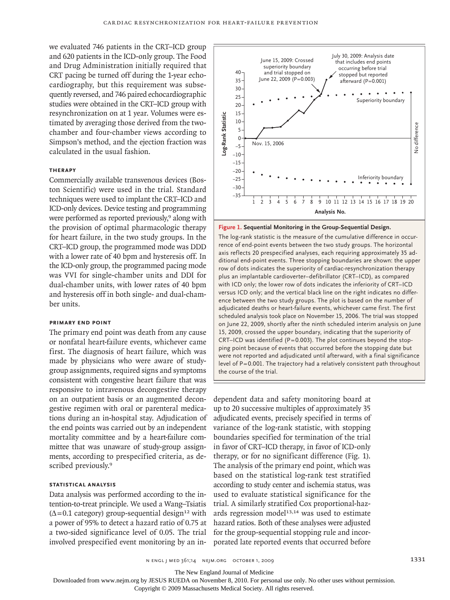we evaluated 746 patients in the CRT–ICD group and 620 patients in the ICD-only group. The Food and Drug Administration initially required that CRT pacing be turned off during the 1-year echocardiography, but this requirement was subsequently reversed, and 746 paired echocardiographic studies were obtained in the CRT–ICD group with resynchronization on at 1 year. Volumes were estimated by averaging those derived from the twochamber and four-chamber views according to Simpson's method, and the ejection fraction was calculated in the usual fashion.

#### **Therapy**

Commercially available transvenous devices (Boston Scientific) were used in the trial. Standard techniques were used to implant the CRT–ICD and ICD-only devices. Device testing and programming were performed as reported previously,<sup>9</sup> along with the provision of optimal pharmacologic therapy for heart failure, in the two study groups. In the CRT–ICD group, the programmed mode was DDD with a lower rate of 40 bpm and hysteresis off. In the ICD-only group, the programmed pacing mode was VVI for single-chamber units and DDI for dual-chamber units, with lower rates of 40 bpm and hysteresis off in both single- and dual-chamber units.

#### **Primary End Point**

The primary end point was death from any cause or nonfatal heart-failure events, whichever came first. The diagnosis of heart failure, which was made by physicians who were aware of studygroup assignments, required signs and symptoms consistent with congestive heart failure that was responsive to intravenous decongestive therapy on an outpatient basis or an augmented decongestive regimen with oral or parenteral medications during an in-hospital stay. Adjudication of the end points was carried out by an independent mortality committee and by a heart-failure committee that was unaware of study-group assignments, according to prespecified criteria, as described previously.<sup>9</sup>

# **Statistical Analysis**

Data analysis was performed according to the intention-to-treat principle. We used a Wang–Tsiatis  $(\Delta=0.1$  category) group-sequential design<sup>12</sup> with a power of 95% to detect a hazard ratio of 0.75 at a two-sided significance level of 0.05. The trial involved prespecified event monitoring by an in-



**Figure 1. Sequential Monitoring in the Group-Sequential Design.**

row of dots indicates the superiority of cardiac-resynchronization therapy The log-rank statistic is the measure of the cumulative difference in occurnoint events between the two study groups. The hours adjudicated deaths or heart-failure events, whichever came first. The first ditional end-point events. Three stopping boundaries are shown: the upper axis reflects 20 prespecified analyses, each requiring approximately 35 adwith ICD only; the lower row of dots indicates the inferiority of CRT–ICD versus ICD only; and the vertical black line on the right indicates no differrence of end-point events between the two study groups. The horizontal plus an implantable cardioverter–defibrillator (CRT–ICD), as compared ence between the two study groups. The plot is based on the number of scheduled analysis took place on November 15, 2006. The trial was stopped on June 22, 2009, shortly after the ninth scheduled interim analysis on June 15, 2009, crossed the upper boundary, indicating that the superiority of CRT–ICD was identified (P=0.003). The plot continues beyond the stopping point because of events that occurred before the stopping date but were not reported and adjudicated until afterward, with a final significance level of P=0.001. The trajectory had a relatively consistent path throughout the course of the trial.

dependent data and safety monitoring board at up to 20 successive multiples of approximately 35 adjudicated events, precisely specified in terms of variance of the log-rank statistic, with stopping boundaries specified for termination of the trial in favor of CRT–ICD therapy, in favor of ICD-only therapy, or for no significant difference (Fig. 1). The analysis of the primary end point, which was based on the statistical log-rank test stratified according to study center and ischemia status, was used to evaluate statistical significance for the trial. A similarly stratified Cox proportional-hazards regression model $13,14$  was used to estimate hazard ratios. Both of these analyses were adjusted for the group-sequential stopping rule and incorporated late reported events that occurred before

n engl j med 361;14 nejm.org october 1, 2009 1331

The New England Journal of Medicine

Downloaded from www.nejm.org by JESUS RUEDA on November 8, 2010. For personal use only. No other uses without permission.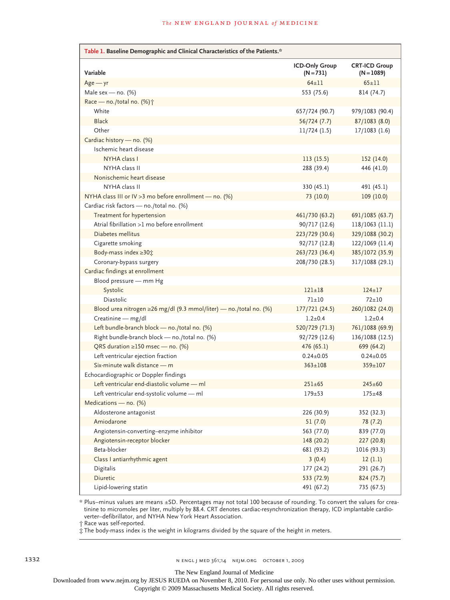| Table 1. Baseline Demographic and Clinical Characteristics of the Patients.* |                                      |                                      |  |  |
|------------------------------------------------------------------------------|--------------------------------------|--------------------------------------|--|--|
| Variable                                                                     | <b>ICD-Only Group</b><br>$(N = 731)$ | <b>CRT-ICD Group</b><br>$(N = 1089)$ |  |  |
| $Age - yr$                                                                   | $64 \pm 11$                          | $65 + 11$                            |  |  |
| Male sex - no. $(%)$                                                         | 553 (75.6)                           | 814 (74.7)                           |  |  |
| Race - no./total no. (%) <sup>+</sup>                                        |                                      |                                      |  |  |
| White                                                                        | 657/724 (90.7)                       | 979/1083 (90.4)                      |  |  |
| <b>Black</b>                                                                 | 56/724(7.7)                          | 87/1083 (8.0)                        |  |  |
| Other                                                                        | $11/724$ (1.5)                       | 17/1083(1.6)                         |  |  |
| Cardiac history - no. (%)                                                    |                                      |                                      |  |  |
| Ischemic heart disease                                                       |                                      |                                      |  |  |
| NYHA class I                                                                 | 113(15.5)                            | 152 (14.0)                           |  |  |
| NYHA class II                                                                | 288 (39.4)                           | 446 (41.0)                           |  |  |
| Nonischemic heart disease                                                    |                                      |                                      |  |  |
| NYHA class II                                                                | 330 (45.1)                           | 491 (45.1)                           |  |  |
| NYHA class III or IV > 3 mo before enrollment - no. (%)                      | 73(10.0)                             | 109(10.0)                            |  |  |
| Cardiac risk factors - no./total no. (%)                                     |                                      |                                      |  |  |
| Treatment for hypertension                                                   | 461/730 (63.2)                       | 691/1085 (63.7)                      |  |  |
| Atrial fibrillation >1 mo before enrollment                                  | 90/717 (12.6)                        | 118/1063 (11.1)                      |  |  |
| Diabetes mellitus                                                            | 223/729 (30.6)                       | 329/1088 (30.2)                      |  |  |
| Cigarette smoking                                                            | 92/717 (12.8)                        | 122/1069 (11.4)                      |  |  |
| Body-mass index ≥30 <sup>+</sup>                                             | 263/723 (36.4)                       | 385/1072 (35.9)                      |  |  |
| Coronary-bypass surgery                                                      | 208/730 (28.5)                       | 317/1088 (29.1)                      |  |  |
| Cardiac findings at enrollment                                               |                                      |                                      |  |  |
| Blood pressure - mm Hg                                                       |                                      |                                      |  |  |
| Systolic                                                                     | $121 \pm 18$                         | $124 \pm 17$                         |  |  |
| Diastolic                                                                    | $71 \pm 10$                          | $72 + 10$                            |  |  |
| Blood urea nitrogen ≥26 mg/dl (9.3 mmol/liter) — no./total no. (%)           | 177/721 (24.5)                       | 260/1082 (24.0)                      |  |  |
| Creatinine - mg/dl                                                           | $1.2 + 0.4$                          | $1.2 \pm 0.4$                        |  |  |
| Left bundle-branch block - no./total no. (%)                                 | 520/729 (71.3)                       | 761/1088 (69.9)                      |  |  |
| Right bundle-branch block - no./total no. (%)                                | 92/729 (12.6)                        | 136/1088 (12.5)                      |  |  |
| QRS duration $\geq$ 150 msec — no. (%)                                       | 476 (65.1)                           | 699 (64.2)                           |  |  |
| Left ventricular ejection fraction                                           | $0.24 \pm 0.05$                      | $0.24 \pm 0.05$                      |  |  |
| Six-minute walk distance - m                                                 | $363 \pm 108$                        | $359 + 107$                          |  |  |
| Echocardiographic or Doppler findings                                        |                                      |                                      |  |  |
| Left ventricular end-diastolic volume - ml                                   | $251 \pm 65$                         | $245 \pm 60$                         |  |  |
| Left ventricular end-systolic volume - ml                                    | $179 + 53$                           | $175 + 48$                           |  |  |
| Medications - no. (%)                                                        |                                      |                                      |  |  |
| Aldosterone antagonist                                                       | 226 (30.9)                           | 352 (32.3)                           |  |  |
| Amiodarone                                                                   | 51(7.0)                              | 78 (7.2)                             |  |  |
| Angiotensin-converting-enzyme inhibitor                                      | 563 (77.0)                           | 839 (77.0)                           |  |  |
| Angiotensin-receptor blocker                                                 | 148 (20.2)                           | 227 (20.8)                           |  |  |
| Beta-blocker                                                                 | 681 (93.2)                           | 1016 (93.3)                          |  |  |
| Class I antiarrhythmic agent                                                 | 3(0.4)                               | 12(1.1)                              |  |  |
| Digitalis                                                                    | 177(24.2)                            | 291 (26.7)                           |  |  |
| Diuretic                                                                     | 533 (72.9)                           | 824 (75.7)                           |  |  |
| Lipid-lowering statin                                                        | 491 (67.2)                           | 735 (67.5)                           |  |  |

\* Plus–minus values are means ±SD. Percentages may not total 100 because of rounding. To convert the values for creatinine to micromoles per liter, multiply by 88.4. CRT denotes cardiac-resynchronization therapy, ICD implantable cardioverter–defibrillator, and NYHA New York Heart Association.

† Race was self-reported.

‡ The body-mass index is the weight in kilograms divided by the square of the height in meters.

The New England Journal of Medicine

Downloaded from www.nejm.org by JESUS RUEDA on November 8, 2010. For personal use only. No other uses without permission.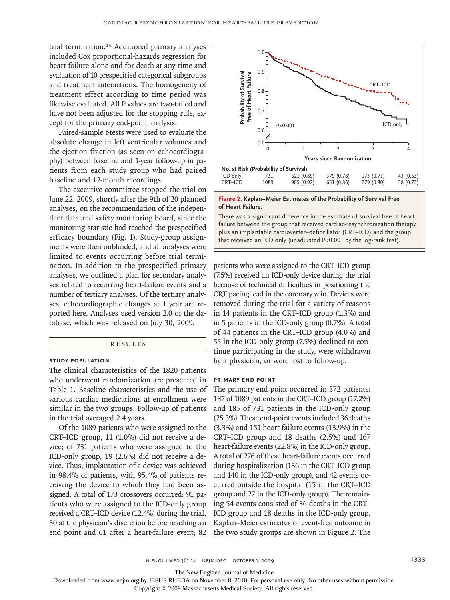trial termination.15 Additional primary analyses included Cox proportional-hazards regression for heart failure alone and for death at any time and evaluation of 10 prespecified categorical subgroups and treatment interactions. The homogeneity of treatment effect according to time period was likewise evaluated. All P values are two-tailed and have not been adjusted for the stopping rule, except for the primary end-point analysis.

Paired-sample t-tests were used to evaluate the absolute change in left ventricular volumes and the ejection fraction (as seen on echocardiography) between baseline and 1-year follow-up in patients from each study group who had paired baseline and 12-month recordings.

The executive committee stopped the trial on June 22, 2009, shortly after the 9th of 20 planned analyses, on the recommendation of the independent data and safety monitoring board, since the monitoring statistic had reached the prespecified efficacy boundary (Fig. 1). Study-group assignments were then unblinded, and all analyses were limited to events occurring before trial termination. In addition to the prespecified primary analyses, we outlined a plan for secondary analyses related to recurring heart-failure events and a number of tertiary analyses. Of the tertiary analyses, echocardiographic changes at 1 year are reported here. Analyses used version 2.0 of the database, which was released on July 30, 2009.

#### **RESULTS**

#### **Study Population**

The clinical characteristics of the 1820 patients who underwent randomization are presented in Table 1. Baseline characteristics and the use of various cardiac medications at enrollment were similar in the two groups. Follow-up of patients in the trial averaged 2.4 years.

Of the 1089 patients who were assigned to the CRT–ICD group, 11 (1.0%) did not receive a device; of 731 patients who were assigned to the ICD-only group, 19 (2.6%) did not receive a device. Thus, implantation of a device was achieved in 98.4% of patients, with 95.4% of patients receiving the device to which they had been assigned. A total of 173 crossovers occurred: 91 patients who were assigned to the ICD-only group received a CRT–ICD device (12.4%) during the trial, 30 at the physician's discretion before reaching an end point and 61 after a heart-failure event; 82



of Heart Failure. **Figure 2. Kaplan–Meier Estimates of the Probability of Survival Free** 

plus an implantable cardioverter dembinator (entriced) and the grant received an ICD only (unadjusted P<0.001 by the log-rank test). ignificant difference in the estimate of survival free plus an implantable cardioverter–defibrillator (CRT–ICD) and the group failure between the group that received cardiac-resynchronization therapy There was a significant difference in the estimate of survival free of heart

**AUTHOR, PLEASE NOTE:**

patients who were assigned to the CRT–ICD group (7.5%) received an ICD-only device during the trial because of technical difficulties in positioning the CRT pacing lead in the coronary vein. Devices were removed during the trial for a variety of reasons in 14 patients in the CRT–ICD group (1.3%) and in 5 patients in the ICD-only group (0.7%). A total of 44 patients in the CRT–ICD group (4.0%) and 55 in the ICD-only group (7.5%) declined to continue participating in the study, were withdrawn by a physician, or were lost to follow-up.

#### **Primary End Point**

The primary end point occurred in 372 patients: 187 of 1089 patients in the CRT–ICD group (17.2%) and 185 of 731 patients in the ICD-only group (25.3%). These end-point events included 36 deaths (3.3%) and 151 heart-failure events (13.9%) in the CRT–ICD group and 18 deaths (2.5%) and 167 heart-failure events (22.8%) in the ICD-only group. A total of 276 of these heart-failure events occurred during hospitalization (136 in the CRT–ICD group and 140 in the ICD-only group), and 42 events occurred outside the hospital (15 in the CRT–ICD group and 27 in the ICD-only group). The remaining 54 events consisted of 36 deaths in the CRT– ICD group and 18 deaths in the ICD-only group. Kaplan–Meier estimates of event-free outcome in the two study groups are shown in Figure 2. The

The New England Journal of Medicine

Downloaded from www.nejm.org by JESUS RUEDA on November 8, 2010. For personal use only. No other uses without permission.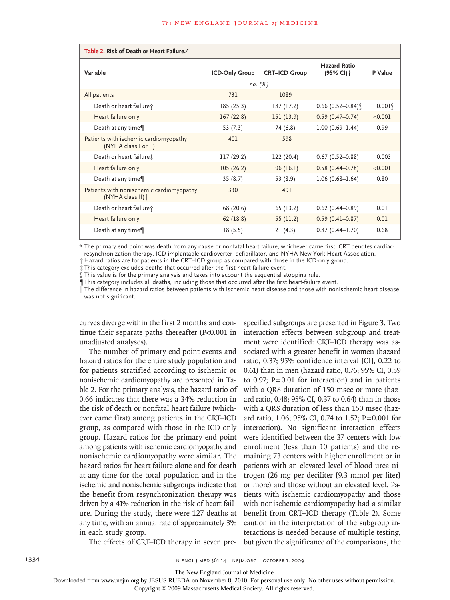| Table 2. Risk of Death or Heart Failure.*                     |                                  |                      |                                       |         |
|---------------------------------------------------------------|----------------------------------|----------------------|---------------------------------------|---------|
| Variable                                                      | <b>ICD-Only Group</b><br>no. (%) | <b>CRT-ICD Group</b> | Hazard Ratio<br>(95% CI) <sup>+</sup> | P Value |
| All patients                                                  | 731                              | 1089                 |                                       |         |
| Death or heart failuret:                                      | 185 (25.3)                       | 187 (17.2)           | $0.66$ (0.52-0.84)                    | 0.001   |
| Heart failure only                                            | 167(22.8)                        | 151 (13.9)           | $0.59(0.47 - 0.74)$                   | < 0.001 |
| Death at any time                                             | 53 (7.3)                         | 74 (6.8)             | $1.00(0.69 - 1.44)$                   | 0.99    |
| Patients with ischemic cardiomyopathy<br>(NYHA class I or II) | 401                              | 598                  |                                       |         |
| Death or heart failuret:                                      | 117 (29.2)                       | 122 (20.4)           | $0.67(0.52 - 0.88)$                   | 0.003   |
| Heart failure only                                            | 105(26.2)                        | 96(16.1)             | $0.58(0.44 - 0.78)$                   | < 0.001 |
| Death at any time                                             | 35(8.7)                          | 53 (8.9)             | $1.06(0.68 - 1.64)$                   | 0.80    |
| Patients with nonischemic cardiomyopathy<br>(NYHA class II)   | 330                              | 491                  |                                       |         |
| Death or heart failuret:                                      | 68 (20.6)                        | 65 (13.2)            | $0.62$ (0.44-0.89)                    | 0.01    |
| Heart failure only                                            | 62(18.8)                         | 55(11.2)             | $0.59(0.41 - 0.87)$                   | 0.01    |
| Death at any time                                             | 18(5.5)                          | 21(4.3)              | $0.87(0.44 - 1.70)$                   | 0.68    |

\* The primary end point was death from any cause or nonfatal heart failure, whichever came first. CRT denotes cardiacresynchronization therapy, ICD implantable cardioverter–defibrillator, and NYHA New York Heart Association.

† Hazard ratios are for patients in the CRT–ICD group as compared with those in the ICD-only group.

‡ This category excludes deaths that occurred after the first heart-failure event.

 $\hat{\S}$  This value is for the primary analysis and takes into account the sequential stopping rule.

¶This category includes all deaths, including those that occurred after the first heart-failure event.

‖ The difference in hazard ratios between patients with ischemic heart disease and those with nonischemic heart disease was not significant.

curves diverge within the first 2 months and continue their separate paths thereafter (P<0.001 in unadjusted analyses).

The number of primary end-point events and hazard ratios for the entire study population and for patients stratified according to ischemic or nonischemic cardiomyopathy are presented in Table 2. For the primary analysis, the hazard ratio of 0.66 indicates that there was a 34% reduction in the risk of death or nonfatal heart failure (whichever came first) among patients in the CRT–ICD group, as compared with those in the ICD-only group. Hazard ratios for the primary end point among patients with ischemic cardiomyopathy and nonischemic cardiomyopathy were similar. The hazard ratios for heart failure alone and for death at any time for the total population and in the ischemic and nonischemic subgroups indicate that the benefit from resynchronization therapy was driven by a 41% reduction in the risk of heart failure. During the study, there were 127 deaths at any time, with an annual rate of approximately 3% in each study group.

specified subgroups are presented in Figure 3. Two interaction effects between subgroup and treatment were identified: CRT–ICD therapy was associated with a greater benefit in women (hazard ratio, 0.37; 95% confidence interval [CI], 0.22 to 0.61) than in men (hazard ratio, 0.76; 95% CI, 0.59 to 0.97;  $P = 0.01$  for interaction) and in patients with a QRS duration of 150 msec or more (hazard ratio, 0.48; 95% CI, 0.37 to 0.64) than in those with a QRS duration of less than 150 msec (hazard ratio, 1.06; 95% CI, 0.74 to 1.52; P=0.001 for interaction). No significant interaction effects were identified between the 37 centers with low enrollment (less than 10 patients) and the remaining 73 centers with higher enrollment or in patients with an elevated level of blood urea nitrogen (26 mg per deciliter [9.3 mmol per liter] or more) and those without an elevated level. Patients with ischemic cardiomyopathy and those with nonischemic cardiomyopathy had a similar benefit from CRT–ICD therapy (Table 2). Some caution in the interpretation of the subgroup interactions is needed because of multiple testing, but given the significance of the comparisons, the

The effects of CRT–ICD therapy in seven pre-

1334 n engl j med 361;14 nejm.org october 1, 2009

The New England Journal of Medicine

Downloaded from www.nejm.org by JESUS RUEDA on November 8, 2010. For personal use only. No other uses without permission.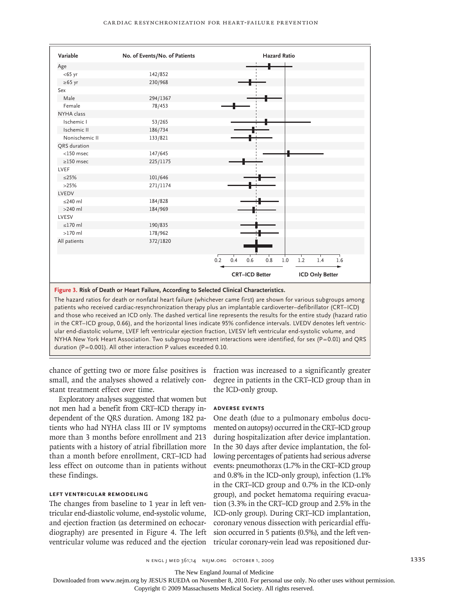

ular end-diastolic volume, LVEF left ventricular ejection fraction, LVESV left ventricular end-systolic volume, and The hazard ratios for death or nonfatal heart failure (whichever came first) are shown for various subgroups among  $\overline{\phantom{a}}$ In the CRT–ICD group, 0.66), and the horizontal lines indicate 95% confidence intervals. LVEDV denotes left ventric-<br>In the CRT–ICD group, 0.66), and the horizontal lines indicate 95% confidence intervals. LVEDV denotes le and those who received an ICD only. The dashed vertical line represents the results for the entire study (hazard ratio NYHA New York Heart Association. Two subgroup treatment interactions were identified, for sex (P=0.01) and QRS **Figure has been redrawn and type has been reset.** duration (P=0.001). All other interaction P values exceeded 0.10. patients who received cardiac-resynchronization therapy plus an implantable cardioverter–defibrillator (CRT–ICD)

**Please check carefully.**

chance of getting two or more false positives is fraction was i small, and the analyses showed a relatively constant treatment effect over time.

Exploratory analyses suggested that women but not men had a benefit from CRT–ICD therapy independent of the QRS duration. Among 182 patients who had NYHA class III or IV symptoms more than 3 months before enrollment and 213 patients with a history of atrial fibrillation more than a month before enrollment, CRT–ICD had less effect on outcome than in patients without these findings.

# **Left Ventricular Remodeling**

The changes from baseline to 1 year in left ventricular end-diastolic volume, end-systolic volume, and ejection fraction (as determined on echocardiography) are presented in Figure 4. The left ventricular volume was reduced and the ejection

fraction was increased to a significantly greater degree in patients in the CRT–ICD group than in the ICD-only group.

# **Adverse Events**

One death (due to a pulmonary embolus documented on autopsy) occurred in the CRT–ICD group during hospitalization after device implantation. In the 30 days after device implantation, the following percentages of patients had serious adverse events: pneumothorax (1.7% in the CRT–ICD group and 0.8% in the ICD-only group), infection (1.1% in the CRT–ICD group and 0.7% in the ICD-only group), and pocket hematoma requiring evacuation (3.3% in the CRT–ICD group and 2.5% in the ICD-only group). During CRT–ICD implantation, coronary venous dissection with pericardial effusion occurred in 5 patients (0.5%), and the left ventricular coronary-vein lead was repositioned dur-

n engl j med 361;14 nejm.org october 1, 2009 1335

The New England Journal of Medicine

Downloaded from www.nejm.org by JESUS RUEDA on November 8, 2010. For personal use only. No other uses without permission.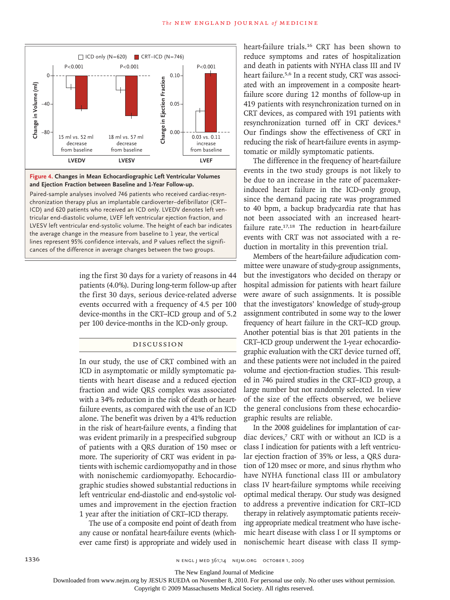

and Ejection Fraction between Baseline and <mark>1-Year Follow-up.</mark> **Figure 4. Changes in Mean Echocardiographic Left Ventricular Volumes** 

tricular end-diastolic volume, LVEF left ventricular ejection fraction, and Paired-sample analyses involved 746 patients who received cardiac-resyn-ICD) and 620 patients who received an ICD only. LVEDV denotes left ven-CASE Revised 3rd chronization therapy plus an implantable cardioverter–defibrillator (CRT– LVESV left ventricular end-systolic volume. The height of each bar indicates the average change in the measure from baseline to 1 year, the vertical lines represent 95% confidence intervals, and P values reflect the significances of the difference in average changes between the two groups.

3611 ISSUE EN 1980 EN 1981 ISSUE EN 1981 EN 1981 ISSUE EN 1981 ISSUE EN 1981 ISSUE EN 1981 ISSUE EN 1991 ISSUE

JOB:

ing the first 30 days for a variety of reasons in 44 patients (4.0%). During long-term follow-up after the first 30 days, serious device-related adverse events occurred with a frequency of 4.5 per 100 device-months in the CRT–ICD group and of 5.2 per 100 device-months in the ICD-only group.

10-01-09

# Discussion

In our study, the use of CRT combined with an ICD in asymptomatic or mildly symptomatic patients with heart disease and a reduced ejection fraction and wide QRS complex was associated with a 34% reduction in the risk of death or heartfailure events, as compared with the use of an ICD alone. The benefit was driven by a 41% reduction in the risk of heart-failure events, a finding that was evident primarily in a prespecified subgroup of patients with a QRS duration of 150 msec or more. The superiority of CRT was evident in patients with ischemic cardiomyopathy and in those with nonischemic cardiomyopathy. Echocardiographic studies showed substantial reductions in left ventricular end-diastolic and end-systolic volumes and improvement in the ejection fraction 1 year after the initiation of CRT–ICD therapy.

The use of a composite end point of death from any cause or nonfatal heart-failure events (whichever came first) is appropriate and widely used in

heart-failure trials.16 CRT has been shown to reduce symptoms and rates of hospitalization and death in patients with NYHA class III and IV heart failure.<sup>5,6</sup> In a recent study, CRT was associated with an improvement in a composite heartfailure score during 12 months of follow-up in 419 patients with resynchronization turned on in CRT devices, as compared with 191 patients with resynchronization turned off in CRT devices.<sup>8</sup> Our findings show the effectiveness of CRT in reducing the risk of heart-failure events in asymptomatic or mildly symptomatic patients.

The difference in the frequency of heart-failure events in the two study groups is not likely to be due to an increase in the rate of pacemakerinduced heart failure in the ICD-only group, since the demand pacing rate was programmed to 40 bpm, a backup bradycardia rate that has not been associated with an increased heartfailure rate.<sup>17,18</sup> The reduction in heart-failure events with CRT was not associated with a reduction in mortality in this prevention trial.

Members of the heart-failure adjudication committee were unaware of study-group assignments, but the investigators who decided on therapy or hospital admission for patients with heart failure were aware of such assignments. It is possible that the investigators' knowledge of study-group assignment contributed in some way to the lower frequency of heart failure in the CRT–ICD group. Another potential bias is that 201 patients in the CRT–ICD group underwent the 1-year echocardiographic evaluation with the CRT device turned off, and these patients were not included in the paired volume and ejection-fraction studies. This resulted in 746 paired studies in the CRT–ICD group, a large number but not randomly selected. In view of the size of the effects observed, we believe the general conclusions from these echocardiographic results are reliable.

In the 2008 guidelines for implantation of cardiac devices,<sup>7</sup> CRT with or without an ICD is a class I indication for patients with a left ventricular ejection fraction of 35% or less, a QRS duration of 120 msec or more, and sinus rhythm who have NYHA functional class III or ambulatory class IV heart-failure symptoms while receiving optimal medical therapy. Our study was designed to address a preventive indication for CRT–ICD therapy in relatively asymptomatic patients receiving appropriate medical treatment who have ischemic heart disease with class I or II symptoms or nonischemic heart disease with class II symp-

The New England Journal of Medicine

Downloaded from www.nejm.org by JESUS RUEDA on November 8, 2010. For personal use only. No other uses without permission.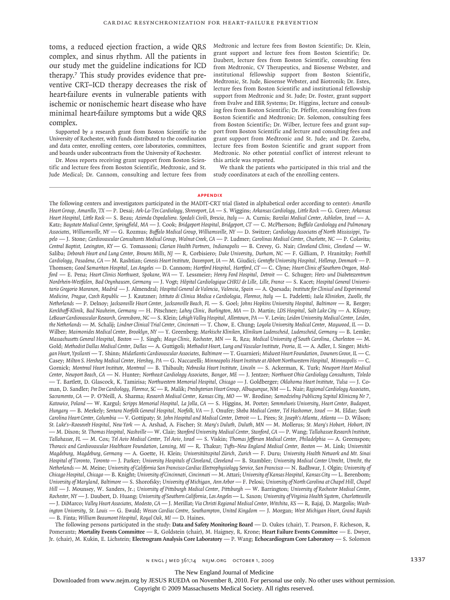toms, a reduced ejection fraction, a wide QRS complex, and sinus rhythm. All the patients in our study met the guideline indications for ICD therapy.7 This study provides evidence that preventive CRT–ICD therapy decreases the risk of heart-failure events in vulnerable patients with ischemic or nonischemic heart disease who have minimal heart-failure symptoms but a wide QRS complex.

Supported by a research grant from Boston Scientific to the University of Rochester, with funds distributed to the coordination and data center, enrolling centers, core laboratories, committees, and boards under subcontracts from the University of Rochester.

Dr. Moss reports receiving grant support from Boston Scientific and lecture fees from Boston Scientific, Medtronic, and St. Jude Medical; Dr. Cannom, consulting and lecture fees from Medtronic and lecture fees from Boston Scientific; Dr. Klein, grant support and lecture fees from Boston Scientific; Dr. Daubert, lecture fees from Boston Scientific, consulting fees from Medtronic, CV Therapeutics, and Biosense Webster, and institutional fellowship support from Boston Scientific, Medtronic, St. Jude, Biosense Webster, and Biotronik; Dr. Estes, lecture fees from Boston Scientific and institutional fellowship support from Medtronic and St. Jude; Dr. Foster, grant support from Evalve and EBR Systems; Dr. Higgins, lecture and consulting fees from Boston Scientific; Dr. Pfeffer, consulting fees from Boston Scientific and Medtronic; Dr. Solomon, consulting fees from Boston Scientific; Dr. Wilber, lecture fees and grant support from Boston Scientific and lecture and consulting fees and grant support from Medtronic and St. Jude; and Dr. Zareba, lecture fees from Boston Scientific and grant support from Medtronic. No other potential conflict of interest relevant to this article was reported.

We thank the patients who participated in this trial and the study coordinators at each of the enrolling centers.

#### **Appendix**

The following centers and investigators participated in the MADIT-CRT trial (listed in alphabetical order according to center): *Amarillo Heart Group, Amarillo, TX* — P. Desai; *Ark-La-Tex Cardiology, Shreveport, LA* — S. Wiggins; *Arkansas Cardiology, Little Rock* — G. Greer; *Arkansas Heart Hospital, Little Rock —* S. Beau; *Azienda Ospedaliera. Spedali Civili, Brescia, Italy —* A. Curnis; *Barzilai Medical Center, Ashkelon, Israel* — A. Katz; *Baystate Medical Center, Springfield, MA* — J. Cook; *Bridgeport Hospital, Bridgeport, CT* — C. McPherson; *Buffalo Cardiology and Pulmonary Associates, Williamsville, NY* — G. Rozmus; *Buffalo Medical Group, Williamsville, NY* — D. Switzer; *Cardiology Associates of North Mississippi, Tupelo* — J. Stone; *Cardiovascular Consultants Medical Group, Walnut Creek, CA* — P. Ludmer; *Carolinas Medical Center, Charlotte, NC* — P. Colavita; *Central Baptist, Lexington, KY —* G. Tomassoni; *Clarian Health Partners, Indianapolis* — B. Crevey, G. Nair; *Cleveland Clinic, Cleveland* — W. Saliba; *Deborah Heart and Lung Center, Browns Mills, NJ* — R. Corbisiero; *Duke University, Durham, NC* — F. Gilliam, P. Hranitzky; *Foothill Cardiology, Pasadena, CA* — M. Rashtian; *Genesis Heart Institute, Davenport, IA* — M. Giudici; *Gentofte University Hospital, Hellerup, Denmark* — P. Thomsen; *Good Samaritan Hospital, Los Angeles* — D. Cannom; *Hartford Hospital, Hartford, CT* — C. Clyne; *Heart Clinic of Southern Oregon, Medford* — E. Pena; *Heart Clinics Northwest, Spokane, WA —* T. Lessmeier; *Henry Ford Hospital, Detroit* — C. Schuger; *Herz- und Diabeteszentrum Nordrhein-Westfalen, Bad Oeynhausen, Germany* — J. Vogt; *Hôpital Cardiologique CHRU de Lille, Lille, France* — S. Kacet; *Hospital General Universitario Gregorio Maranon, Madrid* — J. Almendral; *Hospital General de Valencia, Valencia, Spain* — A. Quesada; *Institute for Clinical and Experimental Medicine, Prague, Czech Republic* — J. Kautzner; *Istituto di Clinica Medica e Cardiologia, Florence, Italy* — L. Padeletti; *Isala Klinieken, Zwolle, the Netherlands* — P. Delnoy; *Jacksonville Heart Center, Jacksonville Beach, FL* — S. Goel; *Johns Hopkins University Hospital, Baltimore* — R. Berger; *Kerckhoff-Klinik, Bad Nauheim, Germany* — H. Pitschner; *Lahey Clinic, Burlington, MA* — D. Martin; *LDS Hospital, Salt Lake City* — A. Kfoury; *LeBauer Cardiovascular Research, Greensboro, NC* — S. Klein; *Lehigh Valley Hospital, Allentown, PA* — V. Levin; *Leiden University Medical Center, Leiden, the Netherlands* — M. Schalij; *Lindner Clinical Trial Center, Cincinnati —* T. Chow, E. Chung; *Loyola University Medical Center, Maywood, IL* — D. Wilber; *Maimonides Medical Center, Brooklyn, NY* — Y. Greenberg; *Markische Kliniken, Klinikum Ludenscheid, Ludenscheid, Germany* — B. Lemke; *Massachusetts General Hospital, Boston* — J. Singh; *Mayo Clinic, Rochester, MN* — R. Rea; *Medical University of South Carolina, Charleston* — M. Gold; *Methodist Dallas Medical Center, Dallas* — A. Guttigoli; *Methodist Heart, Lung and Vascular Institute, Peoria, IL* — A. Adler, I. Singer; *Michigan Heart, Ypsilanti* — T. Shinn; *Midatlantic Cardiovascular Associates, Baltimore* — T. Guarnieri; *Midwest Heart Foundation, Downers Grove, IL* — C. Casey; *Milton S. Hershey Medical Center, Hershey, PA* — G. Naccarelli; *Minneapolis Heart Institute at Abbott Northwestern Hospital, Minneapolis* — C. Gornick; *Montreal Heart Institute, Montreal* — B. Thibault; *Nebraska Heart Institute, Lincoln* — S. Ackerman, K. Turk; *Newport Heart Medical Center, Newport Beach, CA* — N. Hunter; *Northeast Cardiology Associates, Bangor, ME* — J. Jentzer; *Northwest Ohio Cardiology Consultants, Toledo* — T. Bartlett, D. Glascock, K. Tamirisa; *Northwestern Memorial Hospital, Chicago* — J. Goldberger; *Oklahoma Heart Institute, Tulsa* — J. Coman, D. Sandler; *Pee Dee Cardiology, Florence, SC* — R. Malik; *Presbyterian Heart Group, Albuquerque, NM* — L. Nair; *Regional Cardiology Associates, Sacramento, CA* — P. O'Neill, A. Sharma; *Research Medical Center, Kansas City, MO* — W. Brodine; *Samodzielny Publiczny Szpital Kliniczny Nr 7, Katowice, Poland —* W. Kargul; *Scripps Memorial Hospital, La Jolla, CA* — S. Higgins, M. Porter; *Semmelweis University, Heart Center, Budapest, Hungary* — B. Merkely; *Sentara Norfolk General Hospital, Norfolk, VA* — J. Onufer; *Sheba Medical Center, Tel Hashomer, Israel* — M. Eldar; *South Carolina Heart Center, Columbia* — V. Gottipaty; *St. John Hospital and Medical Center, Detroit* — L. Pires; *St. Joseph's Atlanta, Atlanta* — D. Wilson; *St. Luke's–Roosevelt Hospital, New York* — A. Arshad, A. Fischer; *St. Mary's Duluth, Duluth, MN* — M. Mollerus; *St. Mary's Hobart, Hobart, IN* — M. Dixon; *St. Thomas Hospital, Nashville —* W. Clair; *Stanford University Medical Center, Stanford, CA* — P. Wang; *Tallahassee Research Institute, Tallahassee, FL* — M. Cox; *Tel Aviv Medical Center, Tel Aviv, Israel* — S. Viskin; *Thomas Jefferson Medical Center, Philadelphia* — A. Greenspon; *Thoracic and Cardiovascular Healthcare Foundation, Lansing, MI* — R. Thakur; *Tufts–New England Medical Center, Boston —* M. Link; *Universität Magdeburg, Magdeburg, Germany* — A. Goette, H. Klein; *Universitätsspital Zürich, Zurich —* F. Duru; *University Health Network and Mt. Sinai Hospital of Toronto, Toronto —* J. Parker; *University Hospitals of Cleveland, Cleveland —* B. Stambler; *University Medical Center Utrecht, Utrecht, the Netherlands —* M. Meine; *University of California San Francisco Cardiac Electrophysiology Service, San Francisco —* N. Badhwar, J. Olgin; *University of Chicago Hospital, Chicago* — B. Knight; *University of Cincinnati, Cincinnati* — M. Attari; *University of Kansas Hospital, Kansas City* — L. Berenbom; *University of Maryland, Baltimore* — S. Shorofsky; *University of Michigan, Ann Arbor* — F. Pelosi; *University of North Carolina at Chapel Hill, Chapel Hill* — J. Mounsey, W. Sanders, Jr.; *University of Pittsburgh Medical Center, Pittsburgh* — W. Barrington; *University of Rochester Medical Center, Rochester, NY* — J. Daubert, D. Huang; *University of Southern California, Los Angeles —* L. Saxon; *University of Virginia Health System, Charlottesville* — J. DiMarco; *Valley Heart Associates, Modesto, CA* — J. Merillat; *Via Christi Regional Medical Center, Witchita, KS* — R. Bajaj, D. Margolis; *Washington University, St. Louis* — G. Ewald; *Wessex Cardiac Centre, Southampton, United Kingdom* — J. Morgan; *West Michigan Heart, Grand Rapids* — B. Finta; *William Beaumont Hospital, Royal Oak, MI* — D. Haines.

The following persons participated in the study: **Data and Safety Monitoring Board** — D. Oakes (chair), T. Pearson, F. Richeson, R. Pomerantz; **Mortality Events Committee** — R. Goldstein (chair), M. Haigney, R. Krone; **Heart Failure Events Committee** — E. Dwyer, Jr. (chair), M. Kukin, E. Lichstein; **Electrogram Analysis Core Laboratory** — P. Wang; **Echocardiogram Core Laboratory** — S. Solomon

The New England Journal of Medicine

Downloaded from www.nejm.org by JESUS RUEDA on November 8, 2010. For personal use only. No other uses without permission.